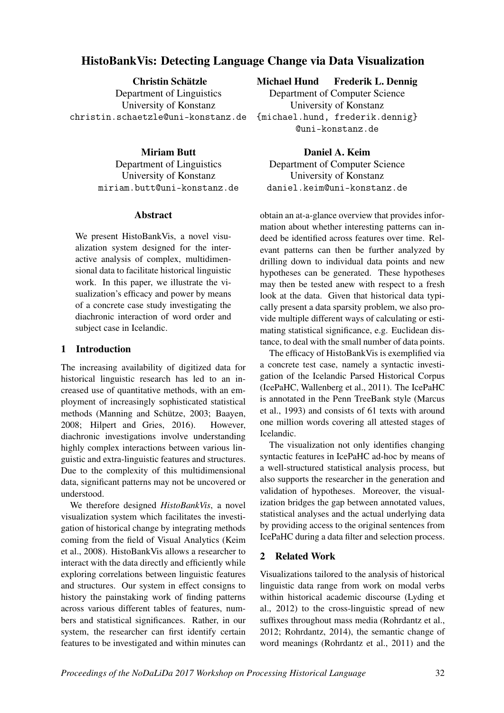# HistoBankVis: Detecting Language Change via Data Visualization

Christin Schätzle Department of Linguistics University of Konstanz christin.schaetzle@uni-konstanz.de

> Miriam Butt Department of Linguistics University of Konstanz miriam.butt@uni-konstanz.de

#### **Abstract**

We present HistoBankVis, a novel visualization system designed for the interactive analysis of complex, multidimensional data to facilitate historical linguistic work. In this paper, we illustrate the visualization's efficacy and power by means of a concrete case study investigating the diachronic interaction of word order and subject case in Icelandic.

### 1 Introduction

The increasing availability of digitized data for historical linguistic research has led to an increased use of quantitative methods, with an employment of increasingly sophisticated statistical methods (Manning and Schütze, 2003; Baayen, 2008; Hilpert and Gries, 2016). However, diachronic investigations involve understanding highly complex interactions between various linguistic and extra-linguistic features and structures. Due to the complexity of this multidimensional data, significant patterns may not be uncovered or understood.

We therefore designed *HistoBankVis*, a novel visualization system which facilitates the investigation of historical change by integrating methods coming from the field of Visual Analytics (Keim et al., 2008). HistoBankVis allows a researcher to interact with the data directly and efficiently while exploring correlations between linguistic features and structures. Our system in effect consigns to history the painstaking work of finding patterns across various different tables of features, numbers and statistical significances. Rather, in our system, the researcher can first identify certain features to be investigated and within minutes can Michael Hund Frederik L. Dennig

Department of Computer Science University of Konstanz {michael.hund, frederik.dennig} @uni-konstanz.de

Daniel A. Keim Department of Computer Science University of Konstanz daniel.keim@uni-konstanz.de

obtain an at-a-glance overview that provides information about whether interesting patterns can indeed be identified across features over time. Relevant patterns can then be further analyzed by drilling down to individual data points and new hypotheses can be generated. These hypotheses may then be tested anew with respect to a fresh look at the data. Given that historical data typically present a data sparsity problem, we also provide multiple different ways of calculating or estimating statistical significance, e.g. Euclidean distance, to deal with the small number of data points.

The efficacy of HistoBankVis is exemplified via a concrete test case, namely a syntactic investigation of the Icelandic Parsed Historical Corpus (IcePaHC, Wallenberg et al., 2011). The IcePaHC is annotated in the Penn TreeBank style (Marcus et al., 1993) and consists of 61 texts with around one million words covering all attested stages of Icelandic.

The visualization not only identifies changing syntactic features in IcePaHC ad-hoc by means of a well-structured statistical analysis process, but also supports the researcher in the generation and validation of hypotheses. Moreover, the visualization bridges the gap between annotated values, statistical analyses and the actual underlying data by providing access to the original sentences from IcePaHC during a data filter and selection process.

## 2 Related Work

Visualizations tailored to the analysis of historical linguistic data range from work on modal verbs within historical academic discourse (Lyding et al., 2012) to the cross-linguistic spread of new suffixes throughout mass media (Rohrdantz et al., 2012; Rohrdantz, 2014), the semantic change of word meanings (Rohrdantz et al., 2011) and the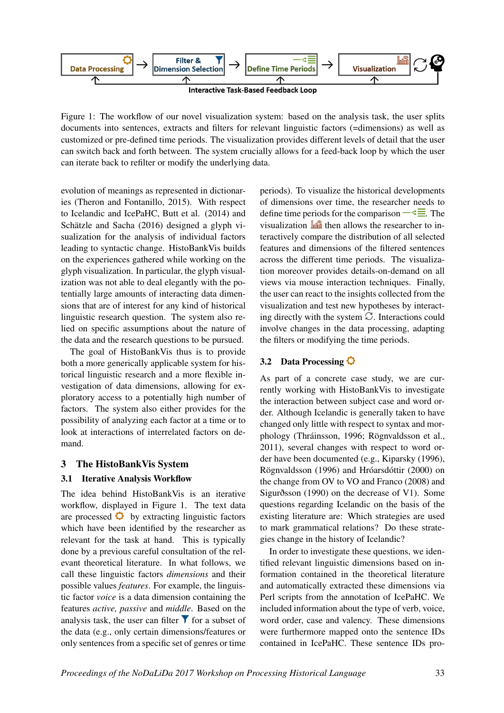

Figure 1: The workflow of our novel visualization system: based on the analysis task, the user splits documents into sentences, extracts and filters for relevant linguistic factors (=dimensions) as well as customized or pre-defined time periods. The visualization provides different levels of detail that the user can switch back and forth between. The system crucially allows for a feed-back loop by which the user can iterate back to refilter or modify the underlying data.

evolution of meanings as represented in dictionaries (Theron and Fontanillo, 2015). With respect to Icelandic and IcePaHC, Butt et al. (2014) and Schätzle and Sacha (2016) designed a glyph visualization for the analysis of individual factors leading to syntactic change. HistoBankVis builds on the experiences gathered while working on the glyph visualization. In particular, the glyph visualization was not able to deal elegantly with the potentially large amounts of interacting data dimensions that are of interest for any kind of historical linguistic research question. The system also relied on specific assumptions about the nature of the data and the research questions to be pursued.

The goal of HistoBankVis thus is to provide both a more generically applicable system for historical linguistic research and a more flexible investigation of data dimensions, allowing for exploratory access to a potentially high number of factors. The system also either provides for the possibility of analyzing each factor at a time or to look at interactions of interrelated factors on demand.

### 3 The HistoBankVis System

### 3.1 Iterative Analysis Workflow

The idea behind HistoBankVis is an iterative workflow, displayed in Figure 1. The text data are processed  $\bullet$  by extracting linguistic factors which have been identified by the researcher as relevant for the task at hand. This is typically done by a previous careful consultation of the relevant theoretical literature. In what follows, we call these linguistic factors *dimensions* and their possible values *features*. For example, the linguistic factor *voice* is a data dimension containing the features *active, passive* and *middle*. Based on the analysis task, the user can filter  $\blacktriangledown$  for a subset of the data (e.g., only certain dimensions/features or only sentences from a specific set of genres or time periods). To visualize the historical developments of dimensions over time, the researcher needs to define time periods for the comparison  $-\leq \equiv$ . The visualization  $\ln$  then allows the researcher to interactively compare the distribution of all selected features and dimensions of the filtered sentences across the different time periods. The visualization moreover provides details-on-demand on all views via mouse interaction techniques. Finally, the user can react to the insights collected from the visualization and test new hypotheses by interacting directly with the system  $\mathcal{C}$ . Interactions could involve changes in the data processing, adapting the filters or modifying the time periods.

## 3.2 Data Processing  $\Omega$

As part of a concrete case study, we are currently working with HistoBankVis to investigate the interaction between subject case and word order. Although Icelandic is generally taken to have changed only little with respect to syntax and morphology (Thráinsson, 1996; Rögnvaldsson et al., 2011), several changes with respect to word order have been documented (e.g., Kiparsky (1996), Rögnvaldsson (1996) and Hróarsdóttir (2000) on the change from OV to VO and Franco (2008) and Sigurðsson (1990) on the decrease of V1). Some questions regarding Icelandic on the basis of the existing literature are: Which strategies are used to mark grammatical relations? Do these strategies change in the history of Icelandic?

In order to investigate these questions, we identified relevant linguistic dimensions based on information contained in the theoretical literature and automatically extracted these dimensions via Perl scripts from the annotation of IcePaHC. We included information about the type of verb, voice, word order, case and valency. These dimensions were furthermore mapped onto the sentence IDs contained in IcePaHC. These sentence IDs pro-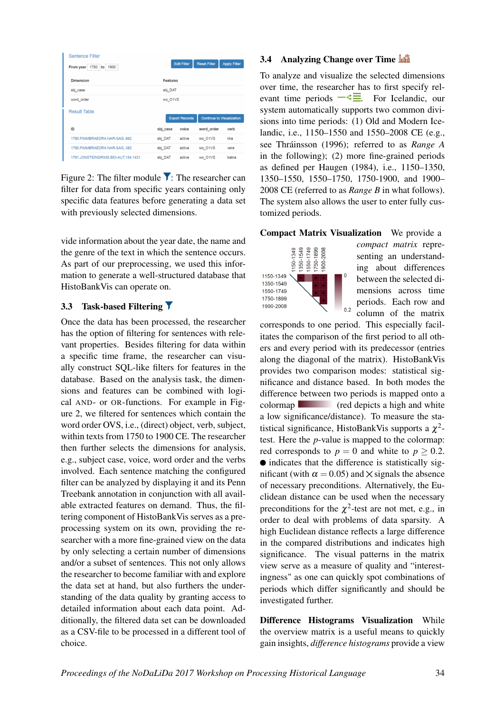| <b>Sentence Filter</b>        |                       |                    |                                  |                     |  |
|-------------------------------|-----------------------|--------------------|----------------------------------|---------------------|--|
| 1750<br>to 1900<br>From year  |                       | <b>Edit Filter</b> | <b>Reset Filter</b>              | <b>Apply Filter</b> |  |
| <b>Dimension</b>              | <b>Features</b>       |                    |                                  |                     |  |
|                               |                       |                    |                                  |                     |  |
| sbj case                      |                       | sbj DAT            |                                  |                     |  |
| word order                    |                       | wo_O1VS            |                                  |                     |  |
| <b>Result Table</b>           |                       |                    |                                  |                     |  |
|                               | <b>Export Records</b> |                    | <b>Continue to Visualization</b> |                     |  |
| ID                            | sbj case              | voice              | word_order                       | verb                |  |
| 1790.FIMMBRAEDRA.NAR-SAG,.662 | sbj_DAT               | active             | wo_O1VS                          | líka                |  |
| 1790.FIMMBRAEDRA.NAR-SAG382   | sbj_DAT               | active             | wo_O1VS                          | vera                |  |
|                               |                       |                    | wo O1VS                          | batna               |  |

Figure 2: The filter module  $\blacktriangledown$ : The researcher can filter for data from specific years containing only specific data features before generating a data set with previously selected dimensions.

vide information about the year date, the name and the genre of the text in which the sentence occurs. As part of our preprocessing, we used this information to generate a well-structured database that HistoBankVis can operate on.

### 3.3 Task-based Filtering

Once the data has been processed, the researcher has the option of filtering for sentences with relevant properties. Besides filtering for data within a specific time frame, the researcher can visually construct SQL-like filters for features in the database. Based on the analysis task, the dimensions and features can be combined with logical AND- or OR-functions. For example in Figure 2, we filtered for sentences which contain the word order OVS, i.e., (direct) object, verb, subject, within texts from 1750 to 1900 CE. The researcher then further selects the dimensions for analysis, e.g., subject case, voice, word order and the verbs involved. Each sentence matching the configured filter can be analyzed by displaying it and its Penn Treebank annotation in conjunction with all available extracted features on demand. Thus, the filtering component of HistoBankVis serves as a preprocessing system on its own, providing the researcher with a more fine-grained view on the data by only selecting a certain number of dimensions and/or a subset of sentences. This not only allows the researcher to become familiar with and explore the data set at hand, but also furthers the understanding of the data quality by granting access to detailed information about each data point. Additionally, the filtered data set can be downloaded as a CSV-file to be processed in a different tool of choice.

### 3.4 Analyzing Change over Time

To analyze and visualize the selected dimensions over time, the researcher has to first specify relevant time periods  $-\xi \equiv$  For Icelandic, our system automatically supports two common divisions into time periods: (1) Old and Modern Icelandic, i.e., 1150–1550 and 1550–2008 CE (e.g., see Thráinsson (1996); referred to as *Range A* in the following); (2) more fine-grained periods as defined per Haugen (1984), i.e., 1150–1350, 1350–1550, 1550–1750, 1750-1900, and 1900– 2008 CE (referred to as *Range B* in what follows). The system also allows the user to enter fully customized periods.

Compact Matrix Visualization We provide a

 $0.2$ 



*compact matrix* representing an understanding about differences between the selected dimensions across time periods. Each row and column of the matrix

corresponds to one period. This especially facilitates the comparison of the first period to all others and every period with its predecessor (entries along the diagonal of the matrix). HistoBankVis provides two comparison modes: statistical significance and distance based. In both modes the difference between two periods is mapped onto a colormap (red depicts a high and white a low significance/distance). To measure the statistical significance, HistoBankVis supports a  $\chi^2$ test. Here the *p*-value is mapped to the colormap: red corresponds to  $p = 0$  and white to  $p > 0.2$ .  $\bullet$  indicates that the difference is statistically significant (with  $\alpha = 0.05$ ) and  $\times$  signals the absence of necessary preconditions. Alternatively, the Euclidean distance can be used when the necessary preconditions for the  $\chi^2$ -test are not met, e.g., in order to deal with problems of data sparsity. A high Euclidean distance reflects a large difference in the compared distributions and indicates high significance. The visual patterns in the matrix view serve as a measure of quality and "interestingness" as one can quickly spot combinations of periods which differ significantly and should be investigated further.

Difference Histograms Visualization While the overview matrix is a useful means to quickly gain insights, *difference histograms* provide a view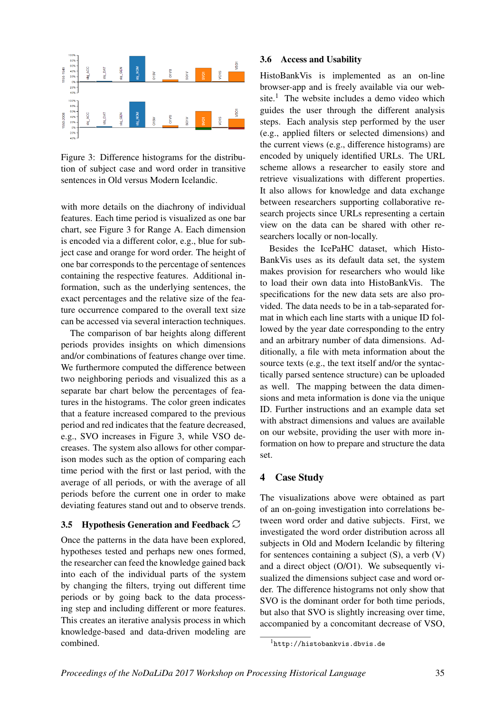

Figure 3: Difference histograms for the distribution of subject case and word order in transitive sentences in Old versus Modern Icelandic.

with more details on the diachrony of individual features. Each time period is visualized as one bar chart, see Figure 3 for Range A. Each dimension is encoded via a different color, e.g., blue for subject case and orange for word order. The height of one bar corresponds to the percentage of sentences containing the respective features. Additional information, such as the underlying sentences, the exact percentages and the relative size of the feature occurrence compared to the overall text size can be accessed via several interaction techniques.

The comparison of bar heights along different periods provides insights on which dimensions and/or combinations of features change over time. We furthermore computed the difference between two neighboring periods and visualized this as a separate bar chart below the percentages of features in the histograms. The color green indicates that a feature increased compared to the previous period and red indicates that the feature decreased, e.g., SVO increases in Figure 3, while VSO decreases. The system also allows for other comparison modes such as the option of comparing each time period with the first or last period, with the average of all periods, or with the average of all periods before the current one in order to make deviating features stand out and to observe trends.

### 3.5 Hypothesis Generation and Feedback  $\mathbb{C}$

Once the patterns in the data have been explored, hypotheses tested and perhaps new ones formed, the researcher can feed the knowledge gained back into each of the individual parts of the system by changing the filters, trying out different time periods or by going back to the data processing step and including different or more features. This creates an iterative analysis process in which knowledge-based and data-driven modeling are combined.

#### 3.6 Access and Usability

HistoBankVis is implemented as an on-line browser-app and is freely available via our website.<sup>1</sup> The website includes a demo video which guides the user through the different analysis steps. Each analysis step performed by the user (e.g., applied filters or selected dimensions) and the current views (e.g., difference histograms) are encoded by uniquely identified URLs. The URL scheme allows a researcher to easily store and retrieve visualizations with different properties. It also allows for knowledge and data exchange between researchers supporting collaborative research projects since URLs representing a certain view on the data can be shared with other researchers locally or non-locally.

Besides the IcePaHC dataset, which Histo-BankVis uses as its default data set, the system makes provision for researchers who would like to load their own data into HistoBankVis. The specifications for the new data sets are also provided. The data needs to be in a tab-separated format in which each line starts with a unique ID followed by the year date corresponding to the entry and an arbitrary number of data dimensions. Additionally, a file with meta information about the source texts (e.g., the text itself and/or the syntactically parsed sentence structure) can be uploaded as well. The mapping between the data dimensions and meta information is done via the unique ID. Further instructions and an example data set with abstract dimensions and values are available on our website, providing the user with more information on how to prepare and structure the data set.

### 4 Case Study

The visualizations above were obtained as part of an on-going investigation into correlations between word order and dative subjects. First, we investigated the word order distribution across all subjects in Old and Modern Icelandic by filtering for sentences containing a subject  $(S)$ , a verb  $(V)$ and a direct object (O/O1). We subsequently visualized the dimensions subject case and word order. The difference histograms not only show that SVO is the dominant order for both time periods, but also that SVO is slightly increasing over time, accompanied by a concomitant decrease of VSO,

<sup>&</sup>lt;sup>1</sup>http://histobankvis.dbvis.de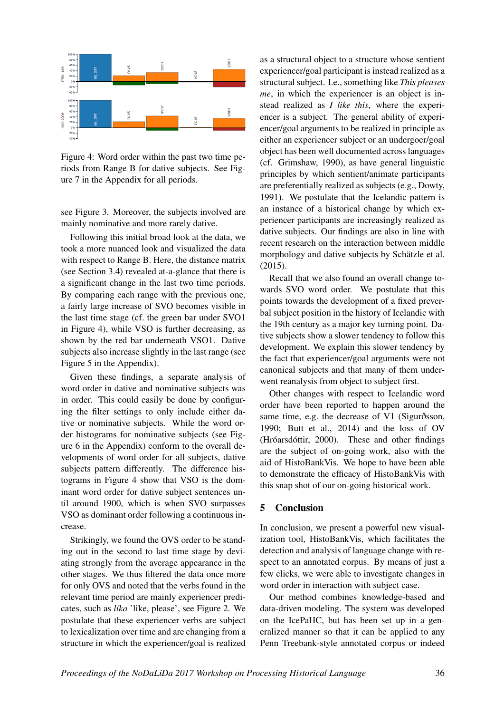

Figure 4: Word order within the past two time periods from Range B for dative subjects. See Figure 7 in the Appendix for all periods.

see Figure 3. Moreover, the subjects involved are mainly nominative and more rarely dative.

Following this initial broad look at the data, we took a more nuanced look and visualized the data with respect to Range B. Here, the distance matrix (see Section 3.4) revealed at-a-glance that there is a significant change in the last two time periods. By comparing each range with the previous one, a fairly large increase of SVO becomes visible in the last time stage (cf. the green bar under SVO1 in Figure 4), while VSO is further decreasing, as shown by the red bar underneath VSO1. Dative subjects also increase slightly in the last range (see Figure 5 in the Appendix).

Given these findings, a separate analysis of word order in dative and nominative subjects was in order. This could easily be done by configuring the filter settings to only include either dative or nominative subjects. While the word order histograms for nominative subjects (see Figure 6 in the Appendix) conform to the overall developments of word order for all subjects, dative subjects pattern differently. The difference histograms in Figure 4 show that VSO is the dominant word order for dative subject sentences until around 1900, which is when SVO surpasses VSO as dominant order following a continuous increase.

Strikingly, we found the OVS order to be standing out in the second to last time stage by deviating strongly from the average appearance in the other stages. We thus filtered the data once more for only OVS and noted that the verbs found in the relevant time period are mainly experiencer predicates, such as *líka* 'like, please', see Figure 2. We postulate that these experiencer verbs are subject to lexicalization over time and are changing from a structure in which the experiencer/goal is realized as a structural object to a structure whose sentient experiencer/goal participant is instead realized as a structural subject. I.e., something like *This pleases me*, in which the experiencer is an object is instead realized as *I like this*, where the experiencer is a subject. The general ability of experiencer/goal arguments to be realized in principle as either an experiencer subject or an undergoer/goal object has been well documented across languages (cf. Grimshaw, 1990), as have general linguistic principles by which sentient/animate participants are preferentially realized as subjects (e.g., Dowty, 1991). We postulate that the Icelandic pattern is an instance of a historical change by which experiencer participants are increasingly realized as dative subjects. Our findings are also in line with recent research on the interaction between middle morphology and dative subjects by Schätzle et al. (2015).

Recall that we also found an overall change towards SVO word order. We postulate that this points towards the development of a fixed preverbal subject position in the history of Icelandic with the 19th century as a major key turning point. Dative subjects show a slower tendency to follow this development. We explain this slower tendency by the fact that experiencer/goal arguments were not canonical subjects and that many of them underwent reanalysis from object to subject first.

Other changes with respect to Icelandic word order have been reported to happen around the same time, e.g. the decrease of V1 (Sigurðsson, 1990; Butt et al., 2014) and the loss of OV (Hróarsdóttir, 2000). These and other findings are the subject of on-going work, also with the aid of HistoBankVis. We hope to have been able to demonstrate the efficacy of HistoBankVis with this snap shot of our on-going historical work.

### 5 Conclusion

In conclusion, we present a powerful new visualization tool, HistoBankVis, which facilitates the detection and analysis of language change with respect to an annotated corpus. By means of just a few clicks, we were able to investigate changes in word order in interaction with subject case.

Our method combines knowledge-based and data-driven modeling. The system was developed on the IcePaHC, but has been set up in a generalized manner so that it can be applied to any Penn Treebank-style annotated corpus or indeed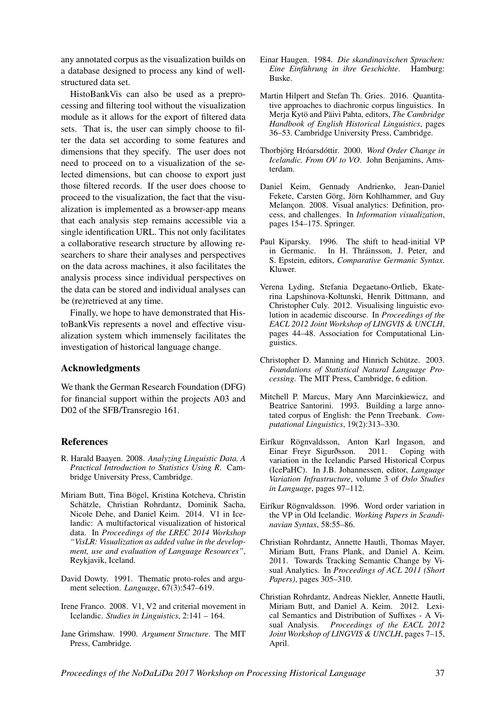any annotated corpus as the visualization builds on a database designed to process any kind of wellstructured data set.

HistoBankVis can also be used as a preprocessing and filtering tool without the visualization module as it allows for the export of filtered data sets. That is, the user can simply choose to filter the data set according to some features and dimensions that they specify. The user does not need to proceed on to a visualization of the selected dimensions, but can choose to export just those filtered records. If the user does choose to proceed to the visualization, the fact that the visualization is implemented as a browser-app means that each analysis step remains accessible via a single identification URL. This not only facilitates a collaborative research structure by allowing researchers to share their analyses and perspectives on the data across machines, it also facilitates the analysis process since individual perspectives on the data can be stored and individual analyses can be (re)retrieved at any time.

Finally, we hope to have demonstrated that HistoBankVis represents a novel and effective visualization system which immensely facilitates the investigation of historical language change.

#### Acknowledgments

We thank the German Research Foundation (DFG) for financial support within the projects A03 and D02 of the SFB/Transregio 161.

### References

- R. Harald Baayen. 2008. *Analyzing Linguistic Data. A Practical Introduction to Statistics Using R*. Cambridge University Press, Cambridge.
- Miriam Butt, Tina Bögel, Kristina Kotcheva, Christin Schätzle, Christian Rohrdantz, Dominik Sacha, Nicole Dehe, and Daniel Keim. 2014. V1 in Icelandic: A multifactorical visualization of historical data. In *Proceedings of the LREC 2014 Workshop "VisLR: Visualization as added value in the development, use and evaluation of Language Resources"*, Reykjavik, Iceland.
- David Dowty. 1991. Thematic proto-roles and argument selection. *Language*, 67(3):547–619.
- Irene Franco. 2008. V1, V2 and criterial movement in Icelandic. *Studies in Linguistics*, 2:141 – 164.
- Jane Grimshaw. 1990. *Argument Structure*. The MIT Press, Cambridge.
- Einar Haugen. 1984. *Die skandinavischen Sprachen: Eine Einführung in ihre Geschichte*. Hamburg: Buske.
- Martin Hilpert and Stefan Th. Gries. 2016. Quantitative approaches to diachronic corpus linguistics. In Merja Kytö and Päivi Pahta, editors, *The Cambridge Handbook of English Historical Linguistics*, pages 36–53. Cambridge University Press, Cambridge.
- Thorbjörg Hróarsdóttir. 2000. *Word Order Change in Icelandic. From OV to VO*. John Benjamins, Amsterdam.
- Daniel Keim, Gennady Andrienko, Jean-Daniel Fekete, Carsten Görg, Jörn Kohlhammer, and Guy Melançon. 2008. Visual analytics: Definition, process, and challenges. In *Information visualization*, pages 154–175. Springer.
- Paul Kiparsky. 1996. The shift to head-initial VP in Germanic. In H. Thráinsson, J. Peter, and S. Epstein, editors, *Comparative Germanic Syntax*. Kluwer.
- Verena Lyding, Stefania Degaetano-Ortlieb, Ekaterina Lapshinova-Koltunski, Henrik Dittmann, and Christopher Culy. 2012. Visualising linguistic evolution in academic discourse. In *Proceedings of the EACL 2012 Joint Workshop of LINGVIS & UNCLH*, pages 44–48. Association for Computational Linguistics.
- Christopher D. Manning and Hinrich Schütze. 2003. *Foundations of Statistical Natural Language Processing*. The MIT Press, Cambridge, 6 edition.
- Mitchell P. Marcus, Mary Ann Marcinkiewicz, and Beatrice Santorini. 1993. Building a large annotated corpus of English: the Penn Treebank. *Computational Linguistics*, 19(2):313–330.
- Eiríkur Rögnvaldsson, Anton Karl Ingason, and Einar Freyr Sigurðsson. 2011. Coping with variation in the Icelandic Parsed Historical Corpus (IcePaHC). In J.B. Johannessen, editor, *Language Variation Infrastructure*, volume 3 of *Oslo Studies in Language*, pages 97–112.
- Eiríkur Rögnvaldsson. 1996. Word order variation in the VP in Old Icelandic. *Working Papers in Scandinavian Syntax*, 58:55–86.
- Christian Rohrdantz, Annette Hautli, Thomas Mayer, Miriam Butt, Frans Plank, and Daniel A. Keim. 2011. Towards Tracking Semantic Change by Visual Analytics. In *Proceedings of ACL 2011 (Short Papers)*, pages 305–310.
- Christian Rohrdantz, Andreas Niekler, Annette Hautli, Miriam Butt, and Daniel A. Keim. 2012. Lexical Semantics and Distribution of Suffixes - A Visual Analysis. *Proceedings of the EACL 2012 Joint Workshop of LINGVIS & UNCLH*, pages 7–15, April.

*Proceedings of the NoDaLiDa 2017 Workshop on Processing Historical Language* 37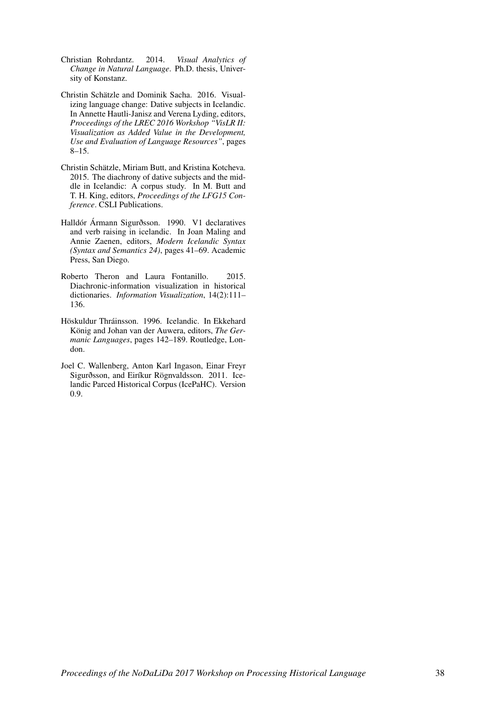- Christian Rohrdantz. 2014. *Visual Analytics of Change in Natural Language*. Ph.D. thesis, University of Konstanz.
- Christin Schätzle and Dominik Sacha. 2016. Visualizing language change: Dative subjects in Icelandic. In Annette Hautli-Janisz and Verena Lyding, editors, *Proceedings of the LREC 2016 Workshop "VisLR II: Visualization as Added Value in the Development, Use and Evaluation of Language Resources"*, pages 8–15.
- Christin Schätzle, Miriam Butt, and Kristina Kotcheva. 2015. The diachrony of dative subjects and the middle in Icelandic: A corpus study. In M. Butt and T. H. King, editors, *Proceedings of the LFG15 Conference*. CSLI Publications.
- Halldór Ármann Sigurðsson. 1990. V1 declaratives and verb raising in icelandic. In Joan Maling and Annie Zaenen, editors, *Modern Icelandic Syntax (Syntax and Semantics 24)*, pages 41–69. Academic Press, San Diego.
- Roberto Theron and Laura Fontanillo. 2015. Diachronic-information visualization in historical dictionaries. *Information Visualization*, 14(2):111– 136.
- Höskuldur Thráinsson. 1996. Icelandic. In Ekkehard König and Johan van der Auwera, editors, *The Germanic Languages*, pages 142–189. Routledge, London.
- Joel C. Wallenberg, Anton Karl Ingason, Einar Freyr Sigurðsson, and Eiríkur Rögnvaldsson. 2011. Icelandic Parced Historical Corpus (IcePaHC). Version 0.9.